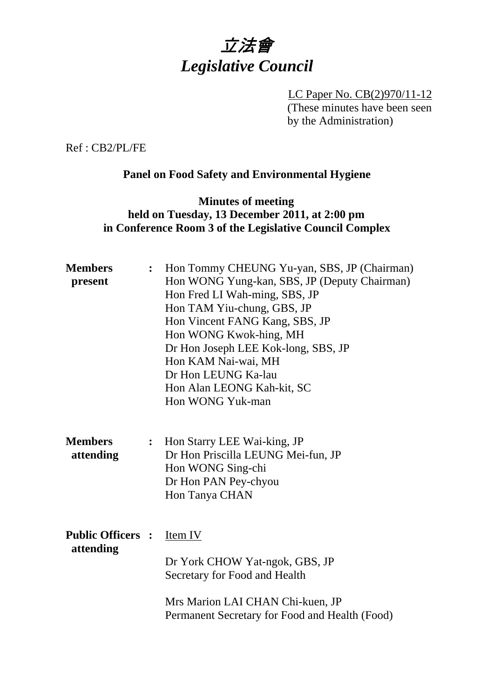

LC Paper No. CB(2)970/11-12 (These minutes have been seen by the Administration)

Ref : CB2/PL/FE

# **Panel on Food Safety and Environmental Hygiene**

### **Minutes of meeting held on Tuesday, 13 December 2011, at 2:00 pm in Conference Room 3 of the Legislative Council Complex**

| <b>Members</b><br>present             | $\ddot{\cdot}$ | Hon Tommy CHEUNG Yu-yan, SBS, JP (Chairman)<br>Hon WONG Yung-kan, SBS, JP (Deputy Chairman)<br>Hon Fred LI Wah-ming, SBS, JP<br>Hon TAM Yiu-chung, GBS, JP<br>Hon Vincent FANG Kang, SBS, JP<br>Hon WONG Kwok-hing, MH<br>Dr Hon Joseph LEE Kok-long, SBS, JP<br>Hon KAM Nai-wai, MH<br>Dr Hon LEUNG Ka-lau<br>Hon Alan LEONG Kah-kit, SC<br>Hon WONG Yuk-man |
|---------------------------------------|----------------|---------------------------------------------------------------------------------------------------------------------------------------------------------------------------------------------------------------------------------------------------------------------------------------------------------------------------------------------------------------|
| <b>Members</b><br>attending           |                | : Hon Starry LEE Wai-king, JP<br>Dr Hon Priscilla LEUNG Mei-fun, JP<br>Hon WONG Sing-chi<br>Dr Hon PAN Pey-chyou<br>Hon Tanya CHAN                                                                                                                                                                                                                            |
| <b>Public Officers :</b><br>attending |                | Item IV<br>Dr York CHOW Yat-ngok, GBS, JP<br>Secretary for Food and Health<br>Mrs Marion LAI CHAN Chi-kuen, JP<br>Permanent Secretary for Food and Health (Food)                                                                                                                                                                                              |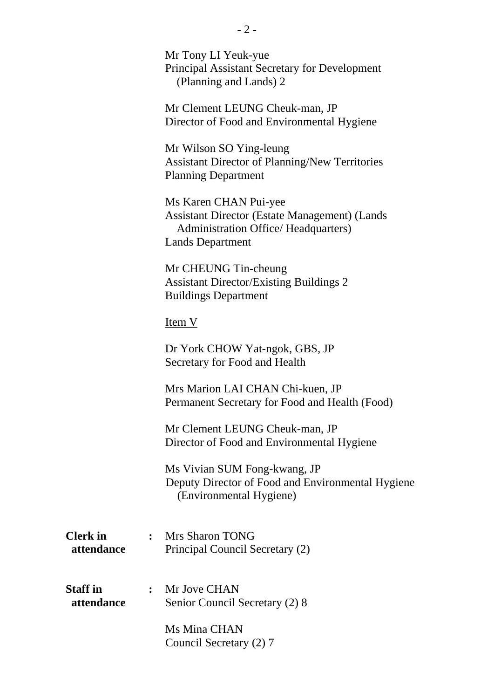|                               | Mr Tony LI Yeuk-yue<br><b>Principal Assistant Secretary for Development</b><br>(Planning and Lands) 2                                                   |
|-------------------------------|---------------------------------------------------------------------------------------------------------------------------------------------------------|
|                               | Mr Clement LEUNG Cheuk-man, JP<br>Director of Food and Environmental Hygiene                                                                            |
|                               | Mr Wilson SO Ying-leung<br><b>Assistant Director of Planning/New Territories</b><br><b>Planning Department</b>                                          |
|                               | Ms Karen CHAN Pui-yee<br><b>Assistant Director (Estate Management) (Lands</b><br><b>Administration Office/ Headquarters)</b><br><b>Lands Department</b> |
|                               | Mr CHEUNG Tin-cheung<br><b>Assistant Director/Existing Buildings 2</b><br><b>Buildings Department</b>                                                   |
|                               | <u>Item V</u>                                                                                                                                           |
|                               | Dr York CHOW Yat-ngok, GBS, JP<br>Secretary for Food and Health                                                                                         |
|                               | Mrs Marion LAI CHAN Chi-kuen, JP<br>Permanent Secretary for Food and Health (Food)                                                                      |
|                               | Mr Clement LEUNG Cheuk-man, JP<br>Director of Food and Environmental Hygiene                                                                            |
|                               | Ms Vivian SUM Fong-kwang, JP<br>Deputy Director of Food and Environmental Hygiene<br>(Environmental Hygiene)                                            |
| <b>Clerk</b> in<br>attendance | : Mrs Sharon TONG<br>Principal Council Secretary (2)                                                                                                    |
| <b>Staff in</b><br>attendance | : Mr Jove CHAN<br>Senior Council Secretary (2) 8                                                                                                        |
|                               | Ms Mina CHAN<br>Council Secretary (2) 7                                                                                                                 |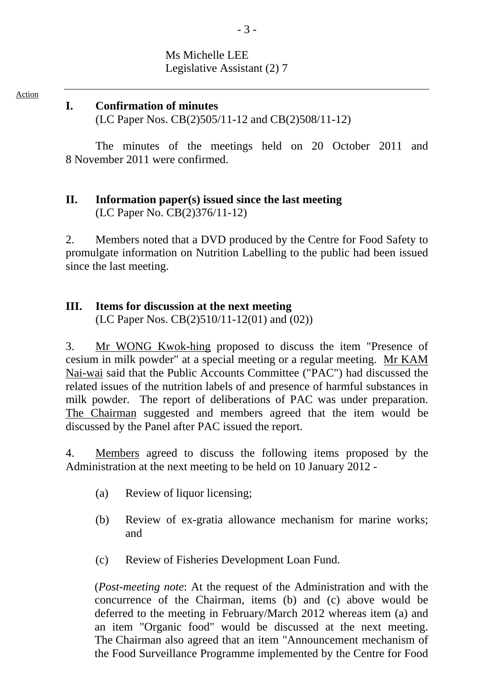# Ms Michelle LEE Legislative Assistant (2) 7

Action

#### **I. Confirmation of minutes**

(LC Paper Nos. CB(2)505/11-12 and CB(2)508/11-12)

The minutes of the meetings held on 20 October 2011 and 8 November 2011 were confirmed.

# **II. Information paper(s) issued since the last meeting**  (LC Paper No. CB(2)376/11-12)

2. Members noted that a DVD produced by the Centre for Food Safety to promulgate information on Nutrition Labelling to the public had been issued since the last meeting.

# **III. Items for discussion at the next meeting**

(LC Paper Nos. CB(2)510/11-12(01) and (02))

3. Mr WONG Kwok-hing proposed to discuss the item "Presence of cesium in milk powder" at a special meeting or a regular meeting. Mr KAM Nai-wai said that the Public Accounts Committee ("PAC") had discussed the related issues of the nutrition labels of and presence of harmful substances in milk powder. The report of deliberations of PAC was under preparation. The Chairman suggested and members agreed that the item would be discussed by the Panel after PAC issued the report.

4. Members agreed to discuss the following items proposed by the Administration at the next meeting to be held on 10 January 2012 -

- (a) Review of liquor licensing;
- (b) Review of ex-gratia allowance mechanism for marine works; and
- (c) Review of Fisheries Development Loan Fund.

(*Post-meeting note*: At the request of the Administration and with the concurrence of the Chairman, items (b) and (c) above would be deferred to the meeting in February/March 2012 whereas item (a) and an item "Organic food" would be discussed at the next meeting. The Chairman also agreed that an item "Announcement mechanism of the Food Surveillance Programme implemented by the Centre for Food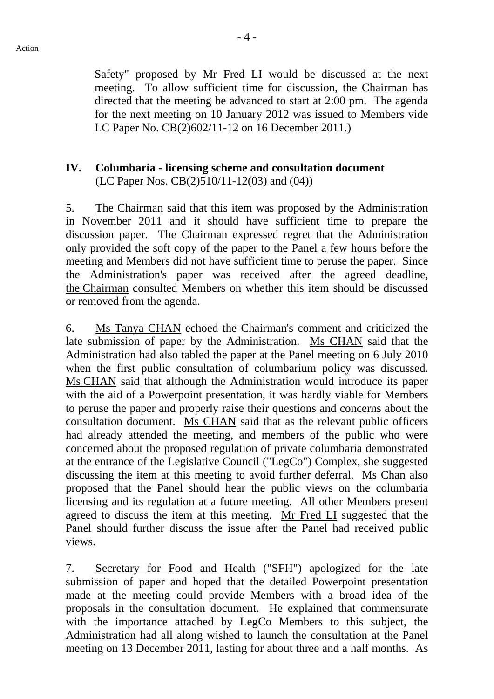Safety" proposed by Mr Fred LI would be discussed at the next meeting. To allow sufficient time for discussion, the Chairman has directed that the meeting be advanced to start at 2:00 pm. The agenda for the next meeting on 10 January 2012 was issued to Members vide LC Paper No. CB(2)602/11-12 on 16 December 2011.)

#### **IV. Columbaria - licensing scheme and consultation document**  (LC Paper Nos. CB(2)510/11-12(03) and (04))

5. The Chairman said that this item was proposed by the Administration in November 2011 and it should have sufficient time to prepare the discussion paper. The Chairman expressed regret that the Administration only provided the soft copy of the paper to the Panel a few hours before the meeting and Members did not have sufficient time to peruse the paper. Since the Administration's paper was received after the agreed deadline, the Chairman consulted Members on whether this item should be discussed or removed from the agenda.

6. Ms Tanya CHAN echoed the Chairman's comment and criticized the late submission of paper by the Administration. Ms CHAN said that the Administration had also tabled the paper at the Panel meeting on 6 July 2010 when the first public consultation of columbarium policy was discussed. Ms CHAN said that although the Administration would introduce its paper with the aid of a Powerpoint presentation, it was hardly viable for Members to peruse the paper and properly raise their questions and concerns about the consultation document. Ms CHAN said that as the relevant public officers had already attended the meeting, and members of the public who were concerned about the proposed regulation of private columbaria demonstrated at the entrance of the Legislative Council ("LegCo") Complex, she suggested discussing the item at this meeting to avoid further deferral. Ms Chan also proposed that the Panel should hear the public views on the columbaria licensing and its regulation at a future meeting. All other Members present agreed to discuss the item at this meeting. Mr Fred LI suggested that the Panel should further discuss the issue after the Panel had received public views.

7. Secretary for Food and Health ("SFH") apologized for the late submission of paper and hoped that the detailed Powerpoint presentation made at the meeting could provide Members with a broad idea of the proposals in the consultation document. He explained that commensurate with the importance attached by LegCo Members to this subject, the Administration had all along wished to launch the consultation at the Panel meeting on 13 December 2011, lasting for about three and a half months. As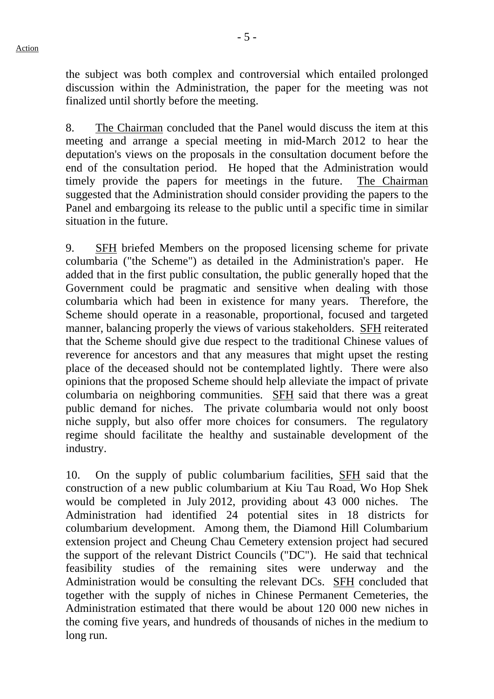- 5 -

the subject was both complex and controversial which entailed prolonged discussion within the Administration, the paper for the meeting was not finalized until shortly before the meeting.

8. The Chairman concluded that the Panel would discuss the item at this meeting and arrange a special meeting in mid-March 2012 to hear the deputation's views on the proposals in the consultation document before the end of the consultation period. He hoped that the Administration would timely provide the papers for meetings in the future. The Chairman suggested that the Administration should consider providing the papers to the Panel and embargoing its release to the public until a specific time in similar situation in the future.

9. SFH briefed Members on the proposed licensing scheme for private columbaria ("the Scheme") as detailed in the Administration's paper. He added that in the first public consultation, the public generally hoped that the Government could be pragmatic and sensitive when dealing with those columbaria which had been in existence for many years. Therefore, the Scheme should operate in a reasonable, proportional, focused and targeted manner, balancing properly the views of various stakeholders. SFH reiterated that the Scheme should give due respect to the traditional Chinese values of reverence for ancestors and that any measures that might upset the resting place of the deceased should not be contemplated lightly. There were also opinions that the proposed Scheme should help alleviate the impact of private columbaria on neighboring communities. SFH said that there was a great public demand for niches. The private columbaria would not only boost niche supply, but also offer more choices for consumers. The regulatory regime should facilitate the healthy and sustainable development of the industry.

10. On the supply of public columbarium facilities, SFH said that the construction of a new public columbarium at Kiu Tau Road, Wo Hop Shek would be completed in July 2012, providing about 43 000 niches. The Administration had identified 24 potential sites in 18 districts for columbarium development. Among them, the Diamond Hill Columbarium extension project and Cheung Chau Cemetery extension project had secured the support of the relevant District Councils ("DC"). He said that technical feasibility studies of the remaining sites were underway and the Administration would be consulting the relevant DCs. SFH concluded that together with the supply of niches in Chinese Permanent Cemeteries, the Administration estimated that there would be about 120 000 new niches in the coming five years, and hundreds of thousands of niches in the medium to long run.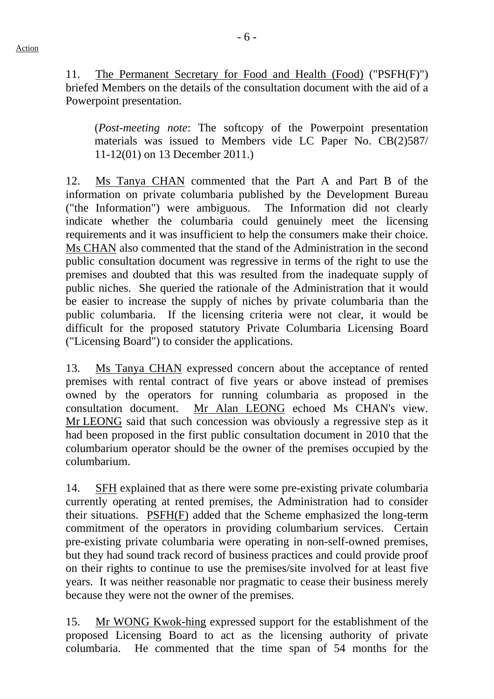11. The Permanent Secretary for Food and Health (Food) ("PSFH(F)") briefed Members on the details of the consultation document with the aid of a Powerpoint presentation.

(*Post-meeting note*: The softcopy of the Powerpoint presentation materials was issued to Members vide LC Paper No. CB(2)587/ 11-12(01) on 13 December 2011.)

12. Ms Tanya CHAN commented that the Part A and Part B of the information on private columbaria published by the Development Bureau ("the Information") were ambiguous. The Information did not clearly indicate whether the columbaria could genuinely meet the licensing requirements and it was insufficient to help the consumers make their choice. Ms CHAN also commented that the stand of the Administration in the second public consultation document was regressive in terms of the right to use the premises and doubted that this was resulted from the inadequate supply of public niches. She queried the rationale of the Administration that it would be easier to increase the supply of niches by private columbaria than the public columbaria. If the licensing criteria were not clear, it would be difficult for the proposed statutory Private Columbaria Licensing Board ("Licensing Board") to consider the applications.

13. Ms Tanya CHAN expressed concern about the acceptance of rented premises with rental contract of five years or above instead of premises owned by the operators for running columbaria as proposed in the consultation document. Mr Alan LEONG echoed Ms CHAN's view. Mr LEONG said that such concession was obviously a regressive step as it had been proposed in the first public consultation document in 2010 that the columbarium operator should be the owner of the premises occupied by the columbarium.

14. SFH explained that as there were some pre-existing private columbaria currently operating at rented premises, the Administration had to consider their situations. PSFH(F) added that the Scheme emphasized the long-term commitment of the operators in providing columbarium services. Certain pre-existing private columbaria were operating in non-self-owned premises, but they had sound track record of business practices and could provide proof on their rights to continue to use the premises/site involved for at least five years. It was neither reasonable nor pragmatic to cease their business merely because they were not the owner of the premises.

15. Mr WONG Kwok-hing expressed support for the establishment of the proposed Licensing Board to act as the licensing authority of private columbaria. He commented that the time span of 54 months for the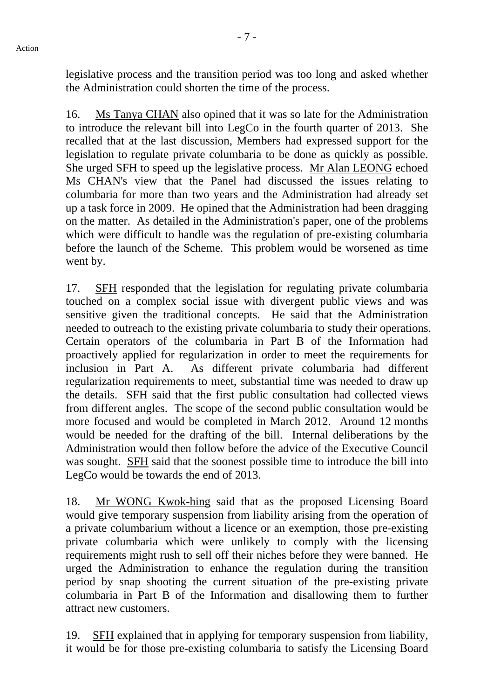legislative process and the transition period was too long and asked whether the Administration could shorten the time of the process.

16. Ms Tanya CHAN also opined that it was so late for the Administration to introduce the relevant bill into LegCo in the fourth quarter of 2013. She recalled that at the last discussion, Members had expressed support for the legislation to regulate private columbaria to be done as quickly as possible. She urged SFH to speed up the legislative process. Mr Alan LEONG echoed Ms CHAN's view that the Panel had discussed the issues relating to columbaria for more than two years and the Administration had already set up a task force in 2009. He opined that the Administration had been dragging on the matter. As detailed in the Administration's paper, one of the problems which were difficult to handle was the regulation of pre-existing columbaria before the launch of the Scheme. This problem would be worsened as time went by.

17. SFH responded that the legislation for regulating private columbaria touched on a complex social issue with divergent public views and was sensitive given the traditional concepts. He said that the Administration needed to outreach to the existing private columbaria to study their operations. Certain operators of the columbaria in Part B of the Information had proactively applied for regularization in order to meet the requirements for inclusion in Part A. As different private columbaria had different regularization requirements to meet, substantial time was needed to draw up the details. SFH said that the first public consultation had collected views from different angles. The scope of the second public consultation would be more focused and would be completed in March 2012. Around 12 months would be needed for the drafting of the bill. Internal deliberations by the Administration would then follow before the advice of the Executive Council was sought. SFH said that the soonest possible time to introduce the bill into LegCo would be towards the end of 2013.

18. Mr WONG Kwok-hing said that as the proposed Licensing Board would give temporary suspension from liability arising from the operation of a private columbarium without a licence or an exemption, those pre-existing private columbaria which were unlikely to comply with the licensing requirements might rush to sell off their niches before they were banned. He urged the Administration to enhance the regulation during the transition period by snap shooting the current situation of the pre-existing private columbaria in Part B of the Information and disallowing them to further attract new customers.

19. SFH explained that in applying for temporary suspension from liability, it would be for those pre-existing columbaria to satisfy the Licensing Board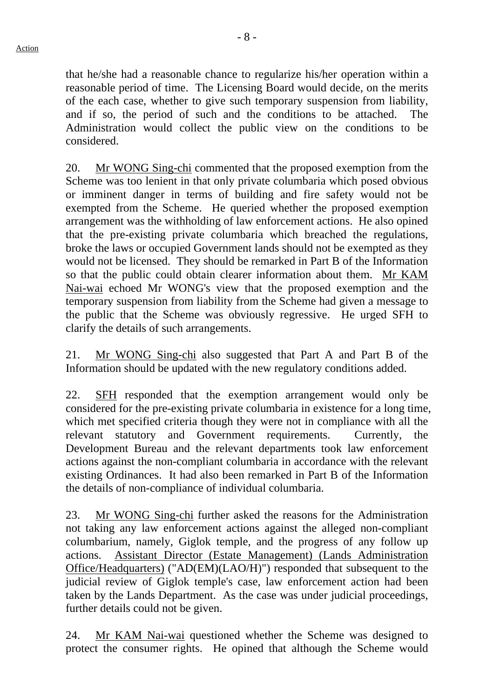that he/she had a reasonable chance to regularize his/her operation within a reasonable period of time. The Licensing Board would decide, on the merits of the each case, whether to give such temporary suspension from liability, and if so, the period of such and the conditions to be attached. The Administration would collect the public view on the conditions to be considered.

20. Mr WONG Sing-chi commented that the proposed exemption from the Scheme was too lenient in that only private columbaria which posed obvious or imminent danger in terms of building and fire safety would not be exempted from the Scheme. He queried whether the proposed exemption arrangement was the withholding of law enforcement actions. He also opined that the pre-existing private columbaria which breached the regulations, broke the laws or occupied Government lands should not be exempted as they would not be licensed. They should be remarked in Part B of the Information so that the public could obtain clearer information about them. Mr KAM Nai-wai echoed Mr WONG's view that the proposed exemption and the temporary suspension from liability from the Scheme had given a message to the public that the Scheme was obviously regressive. He urged SFH to clarify the details of such arrangements.

21. Mr WONG Sing-chi also suggested that Part A and Part B of the Information should be updated with the new regulatory conditions added.

22. SFH responded that the exemption arrangement would only be considered for the pre-existing private columbaria in existence for a long time, which met specified criteria though they were not in compliance with all the relevant statutory and Government requirements. Currently, the Development Bureau and the relevant departments took law enforcement actions against the non-compliant columbaria in accordance with the relevant existing Ordinances. It had also been remarked in Part B of the Information the details of non-compliance of individual columbaria.

23. Mr WONG Sing-chi further asked the reasons for the Administration not taking any law enforcement actions against the alleged non-compliant columbarium, namely, Giglok temple, and the progress of any follow up actions. Assistant Director (Estate Management) (Lands Administration Office/Headquarters) ("AD(EM)(LAO/H)") responded that subsequent to the judicial review of Giglok temple's case, law enforcement action had been taken by the Lands Department. As the case was under judicial proceedings, further details could not be given.

24. Mr KAM Nai-wai questioned whether the Scheme was designed to protect the consumer rights. He opined that although the Scheme would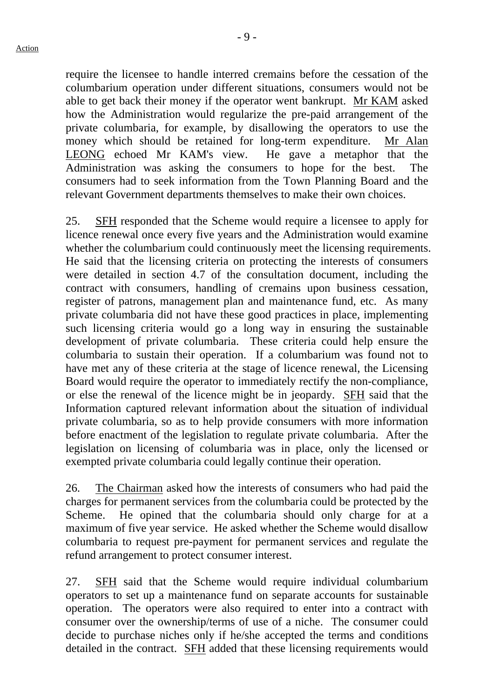- 9 -

require the licensee to handle interred cremains before the cessation of the columbarium operation under different situations, consumers would not be able to get back their money if the operator went bankrupt. Mr KAM asked how the Administration would regularize the pre-paid arrangement of the private columbaria, for example, by disallowing the operators to use the money which should be retained for long-term expenditure. Mr Alan LEONG echoed Mr KAM's view. He gave a metaphor that the Administration was asking the consumers to hope for the best. The consumers had to seek information from the Town Planning Board and the relevant Government departments themselves to make their own choices.

25. SFH responded that the Scheme would require a licensee to apply for licence renewal once every five years and the Administration would examine whether the columbarium could continuously meet the licensing requirements. He said that the licensing criteria on protecting the interests of consumers were detailed in section 4.7 of the consultation document, including the contract with consumers, handling of cremains upon business cessation, register of patrons, management plan and maintenance fund, etc. As many private columbaria did not have these good practices in place, implementing such licensing criteria would go a long way in ensuring the sustainable development of private columbaria. These criteria could help ensure the columbaria to sustain their operation. If a columbarium was found not to have met any of these criteria at the stage of licence renewal, the Licensing Board would require the operator to immediately rectify the non-compliance, or else the renewal of the licence might be in jeopardy. SFH said that the Information captured relevant information about the situation of individual private columbaria, so as to help provide consumers with more information before enactment of the legislation to regulate private columbaria. After the legislation on licensing of columbaria was in place, only the licensed or exempted private columbaria could legally continue their operation.

26. The Chairman asked how the interests of consumers who had paid the charges for permanent services from the columbaria could be protected by the Scheme. He opined that the columbaria should only charge for at a maximum of five year service. He asked whether the Scheme would disallow columbaria to request pre-payment for permanent services and regulate the refund arrangement to protect consumer interest.

27. SFH said that the Scheme would require individual columbarium operators to set up a maintenance fund on separate accounts for sustainable operation. The operators were also required to enter into a contract with consumer over the ownership/terms of use of a niche. The consumer could decide to purchase niches only if he/she accepted the terms and conditions detailed in the contract. SFH added that these licensing requirements would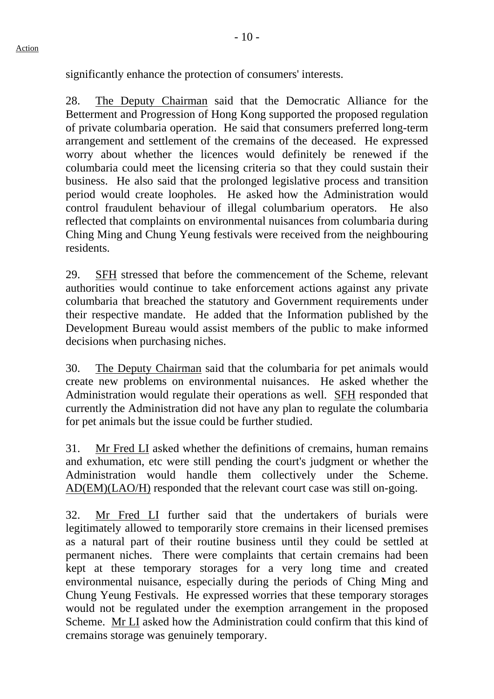significantly enhance the protection of consumers' interests.

28. The Deputy Chairman said that the Democratic Alliance for the Betterment and Progression of Hong Kong supported the proposed regulation of private columbaria operation. He said that consumers preferred long-term arrangement and settlement of the cremains of the deceased. He expressed worry about whether the licences would definitely be renewed if the columbaria could meet the licensing criteria so that they could sustain their business. He also said that the prolonged legislative process and transition period would create loopholes. He asked how the Administration would control fraudulent behaviour of illegal columbarium operators. He also reflected that complaints on environmental nuisances from columbaria during Ching Ming and Chung Yeung festivals were received from the neighbouring residents.

29. SFH stressed that before the commencement of the Scheme, relevant authorities would continue to take enforcement actions against any private columbaria that breached the statutory and Government requirements under their respective mandate. He added that the Information published by the Development Bureau would assist members of the public to make informed decisions when purchasing niches.

30. The Deputy Chairman said that the columbaria for pet animals would create new problems on environmental nuisances. He asked whether the Administration would regulate their operations as well. SFH responded that currently the Administration did not have any plan to regulate the columbaria for pet animals but the issue could be further studied.

31. Mr Fred LI asked whether the definitions of cremains, human remains and exhumation, etc were still pending the court's judgment or whether the Administration would handle them collectively under the Scheme. AD(EM)(LAO/H) responded that the relevant court case was still on-going.

32. Mr Fred LI further said that the undertakers of burials were legitimately allowed to temporarily store cremains in their licensed premises as a natural part of their routine business until they could be settled at permanent niches. There were complaints that certain cremains had been kept at these temporary storages for a very long time and created environmental nuisance, especially during the periods of Ching Ming and Chung Yeung Festivals. He expressed worries that these temporary storages would not be regulated under the exemption arrangement in the proposed Scheme. Mr LI asked how the Administration could confirm that this kind of cremains storage was genuinely temporary.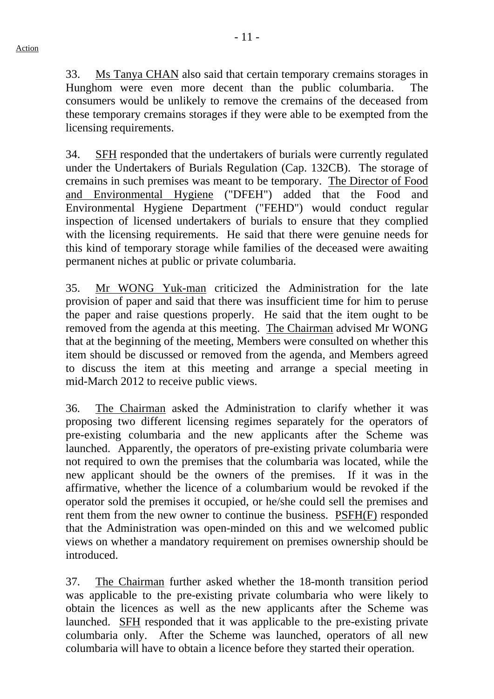33. Ms Tanya CHAN also said that certain temporary cremains storages in Hunghom were even more decent than the public columbaria. The consumers would be unlikely to remove the cremains of the deceased from these temporary cremains storages if they were able to be exempted from the licensing requirements.

34. SFH responded that the undertakers of burials were currently regulated under the Undertakers of Burials Regulation (Cap. 132CB). The storage of cremains in such premises was meant to be temporary. The Director of Food and Environmental Hygiene ("DFEH") added that the Food and Environmental Hygiene Department ("FEHD") would conduct regular inspection of licensed undertakers of burials to ensure that they complied with the licensing requirements. He said that there were genuine needs for this kind of temporary storage while families of the deceased were awaiting permanent niches at public or private columbaria.

35. Mr WONG Yuk-man criticized the Administration for the late provision of paper and said that there was insufficient time for him to peruse the paper and raise questions properly. He said that the item ought to be removed from the agenda at this meeting. The Chairman advised Mr WONG that at the beginning of the meeting, Members were consulted on whether this item should be discussed or removed from the agenda, and Members agreed to discuss the item at this meeting and arrange a special meeting in mid-March 2012 to receive public views.

36. The Chairman asked the Administration to clarify whether it was proposing two different licensing regimes separately for the operators of pre-existing columbaria and the new applicants after the Scheme was launched. Apparently, the operators of pre-existing private columbaria were not required to own the premises that the columbaria was located, while the new applicant should be the owners of the premises. If it was in the affirmative, whether the licence of a columbarium would be revoked if the operator sold the premises it occupied, or he/she could sell the premises and rent them from the new owner to continue the business. PSFH(F) responded that the Administration was open-minded on this and we welcomed public views on whether a mandatory requirement on premises ownership should be introduced.

37. The Chairman further asked whether the 18-month transition period was applicable to the pre-existing private columbaria who were likely to obtain the licences as well as the new applicants after the Scheme was launched. SFH responded that it was applicable to the pre-existing private columbaria only. After the Scheme was launched, operators of all new columbaria will have to obtain a licence before they started their operation.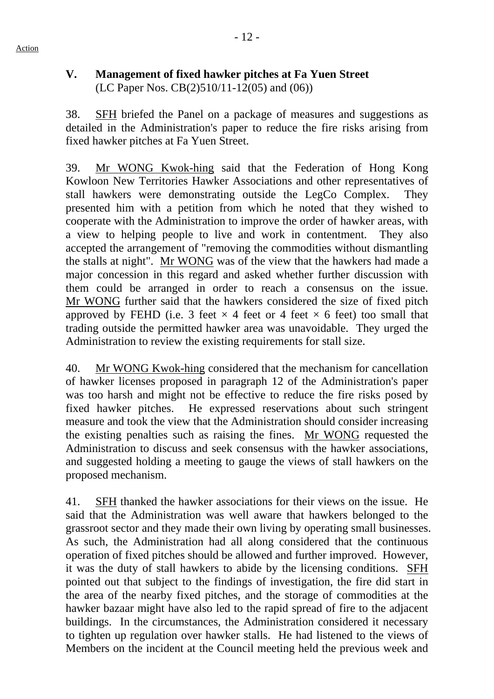# **V. Management of fixed hawker pitches at Fa Yuen Street**  (LC Paper Nos. CB(2)510/11-12(05) and (06))

38. SFH briefed the Panel on a package of measures and suggestions as detailed in the Administration's paper to reduce the fire risks arising from fixed hawker pitches at Fa Yuen Street.

39. Mr WONG Kwok-hing said that the Federation of Hong Kong Kowloon New Territories Hawker Associations and other representatives of stall hawkers were demonstrating outside the LegCo Complex. They presented him with a petition from which he noted that they wished to cooperate with the Administration to improve the order of hawker areas, with a view to helping people to live and work in contentment. They also accepted the arrangement of "removing the commodities without dismantling the stalls at night". Mr WONG was of the view that the hawkers had made a major concession in this regard and asked whether further discussion with them could be arranged in order to reach a consensus on the issue. Mr WONG further said that the hawkers considered the size of fixed pitch approved by FEHD (i.e. 3 feet  $\times$  4 feet or 4 feet  $\times$  6 feet) too small that trading outside the permitted hawker area was unavoidable. They urged the Administration to review the existing requirements for stall size.

40. Mr WONG Kwok-hing considered that the mechanism for cancellation of hawker licenses proposed in paragraph 12 of the Administration's paper was too harsh and might not be effective to reduce the fire risks posed by fixed hawker pitches. He expressed reservations about such stringent measure and took the view that the Administration should consider increasing the existing penalties such as raising the fines. Mr WONG requested the Administration to discuss and seek consensus with the hawker associations, and suggested holding a meeting to gauge the views of stall hawkers on the proposed mechanism.

41. SFH thanked the hawker associations for their views on the issue. He said that the Administration was well aware that hawkers belonged to the grassroot sector and they made their own living by operating small businesses. As such, the Administration had all along considered that the continuous operation of fixed pitches should be allowed and further improved. However, it was the duty of stall hawkers to abide by the licensing conditions. SFH pointed out that subject to the findings of investigation, the fire did start in the area of the nearby fixed pitches, and the storage of commodities at the hawker bazaar might have also led to the rapid spread of fire to the adjacent buildings. In the circumstances, the Administration considered it necessary to tighten up regulation over hawker stalls. He had listened to the views of Members on the incident at the Council meeting held the previous week and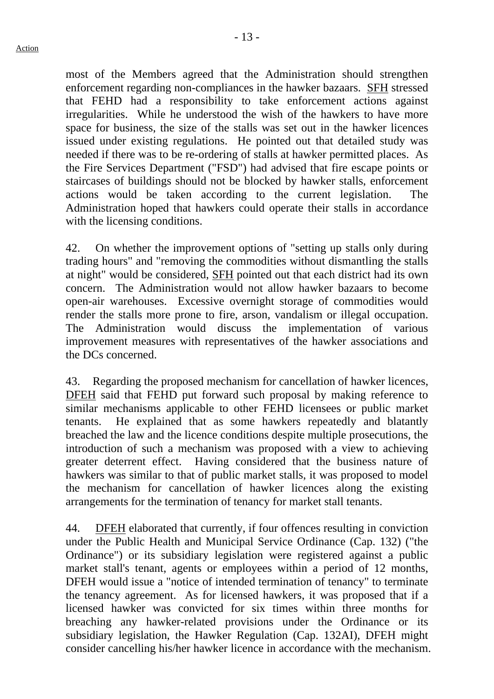most of the Members agreed that the Administration should strengthen enforcement regarding non-compliances in the hawker bazaars. SFH stressed that FEHD had a responsibility to take enforcement actions against irregularities. While he understood the wish of the hawkers to have more space for business, the size of the stalls was set out in the hawker licences issued under existing regulations. He pointed out that detailed study was needed if there was to be re-ordering of stalls at hawker permitted places. As the Fire Services Department ("FSD") had advised that fire escape points or staircases of buildings should not be blocked by hawker stalls, enforcement actions would be taken according to the current legislation. The Administration hoped that hawkers could operate their stalls in accordance with the licensing conditions.

42. On whether the improvement options of "setting up stalls only during trading hours" and "removing the commodities without dismantling the stalls at night" would be considered, SFH pointed out that each district had its own concern. The Administration would not allow hawker bazaars to become open-air warehouses. Excessive overnight storage of commodities would render the stalls more prone to fire, arson, vandalism or illegal occupation. The Administration would discuss the implementation of various improvement measures with representatives of the hawker associations and the DCs concerned.

43. Regarding the proposed mechanism for cancellation of hawker licences, DFEH said that FEHD put forward such proposal by making reference to similar mechanisms applicable to other FEHD licensees or public market tenants. He explained that as some hawkers repeatedly and blatantly breached the law and the licence conditions despite multiple prosecutions, the introduction of such a mechanism was proposed with a view to achieving greater deterrent effect. Having considered that the business nature of hawkers was similar to that of public market stalls, it was proposed to model the mechanism for cancellation of hawker licences along the existing arrangements for the termination of tenancy for market stall tenants.

44. DFEH elaborated that currently, if four offences resulting in conviction under the Public Health and Municipal Service Ordinance (Cap. 132) ("the Ordinance") or its subsidiary legislation were registered against a public market stall's tenant, agents or employees within a period of 12 months, DFEH would issue a "notice of intended termination of tenancy" to terminate the tenancy agreement. As for licensed hawkers, it was proposed that if a licensed hawker was convicted for six times within three months for breaching any hawker-related provisions under the Ordinance or its subsidiary legislation, the Hawker Regulation (Cap. 132AI), DFEH might consider cancelling his/her hawker licence in accordance with the mechanism.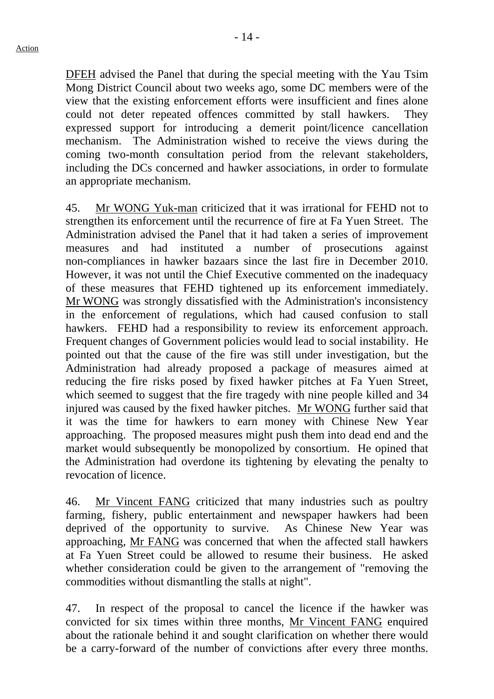DFEH advised the Panel that during the special meeting with the Yau Tsim Mong District Council about two weeks ago, some DC members were of the view that the existing enforcement efforts were insufficient and fines alone could not deter repeated offences committed by stall hawkers. They expressed support for introducing a demerit point/licence cancellation mechanism. The Administration wished to receive the views during the coming two-month consultation period from the relevant stakeholders, including the DCs concerned and hawker associations, in order to formulate an appropriate mechanism.

45. Mr WONG Yuk-man criticized that it was irrational for FEHD not to strengthen its enforcement until the recurrence of fire at Fa Yuen Street. The Administration advised the Panel that it had taken a series of improvement measures and had instituted a number of prosecutions against non-compliances in hawker bazaars since the last fire in December 2010. However, it was not until the Chief Executive commented on the inadequacy of these measures that FEHD tightened up its enforcement immediately. Mr WONG was strongly dissatisfied with the Administration's inconsistency in the enforcement of regulations, which had caused confusion to stall hawkers. FEHD had a responsibility to review its enforcement approach. Frequent changes of Government policies would lead to social instability. He pointed out that the cause of the fire was still under investigation, but the Administration had already proposed a package of measures aimed at reducing the fire risks posed by fixed hawker pitches at Fa Yuen Street, which seemed to suggest that the fire tragedy with nine people killed and 34 injured was caused by the fixed hawker pitches. Mr WONG further said that it was the time for hawkers to earn money with Chinese New Year approaching. The proposed measures might push them into dead end and the market would subsequently be monopolized by consortium. He opined that the Administration had overdone its tightening by elevating the penalty to revocation of licence.

46. Mr Vincent FANG criticized that many industries such as poultry farming, fishery, public entertainment and newspaper hawkers had been deprived of the opportunity to survive. As Chinese New Year was approaching, Mr FANG was concerned that when the affected stall hawkers at Fa Yuen Street could be allowed to resume their business. He asked whether consideration could be given to the arrangement of "removing the commodities without dismantling the stalls at night".

47. In respect of the proposal to cancel the licence if the hawker was convicted for six times within three months, Mr Vincent FANG enquired about the rationale behind it and sought clarification on whether there would be a carry-forward of the number of convictions after every three months.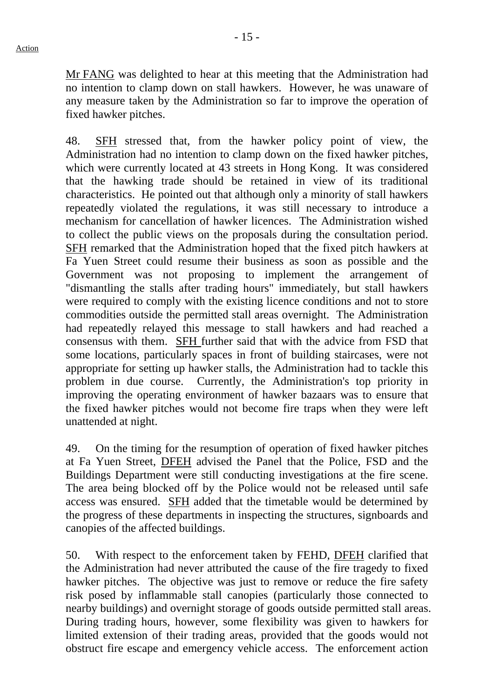Mr FANG was delighted to hear at this meeting that the Administration had no intention to clamp down on stall hawkers. However, he was unaware of any measure taken by the Administration so far to improve the operation of fixed hawker pitches.

48. SFH stressed that, from the hawker policy point of view, the Administration had no intention to clamp down on the fixed hawker pitches, which were currently located at 43 streets in Hong Kong. It was considered that the hawking trade should be retained in view of its traditional characteristics. He pointed out that although only a minority of stall hawkers repeatedly violated the regulations, it was still necessary to introduce a mechanism for cancellation of hawker licences. The Administration wished to collect the public views on the proposals during the consultation period. SFH remarked that the Administration hoped that the fixed pitch hawkers at Fa Yuen Street could resume their business as soon as possible and the Government was not proposing to implement the arrangement of "dismantling the stalls after trading hours" immediately, but stall hawkers were required to comply with the existing licence conditions and not to store commodities outside the permitted stall areas overnight. The Administration had repeatedly relayed this message to stall hawkers and had reached a consensus with them. SFH further said that with the advice from FSD that some locations, particularly spaces in front of building staircases, were not appropriate for setting up hawker stalls, the Administration had to tackle this problem in due course. Currently, the Administration's top priority in improving the operating environment of hawker bazaars was to ensure that the fixed hawker pitches would not become fire traps when they were left unattended at night.

49. On the timing for the resumption of operation of fixed hawker pitches at Fa Yuen Street, DFEH advised the Panel that the Police, FSD and the Buildings Department were still conducting investigations at the fire scene. The area being blocked off by the Police would not be released until safe access was ensured. SFH added that the timetable would be determined by the progress of these departments in inspecting the structures, signboards and canopies of the affected buildings.

50. With respect to the enforcement taken by FEHD, DFEH clarified that the Administration had never attributed the cause of the fire tragedy to fixed hawker pitches. The objective was just to remove or reduce the fire safety risk posed by inflammable stall canopies (particularly those connected to nearby buildings) and overnight storage of goods outside permitted stall areas. During trading hours, however, some flexibility was given to hawkers for limited extension of their trading areas, provided that the goods would not obstruct fire escape and emergency vehicle access. The enforcement action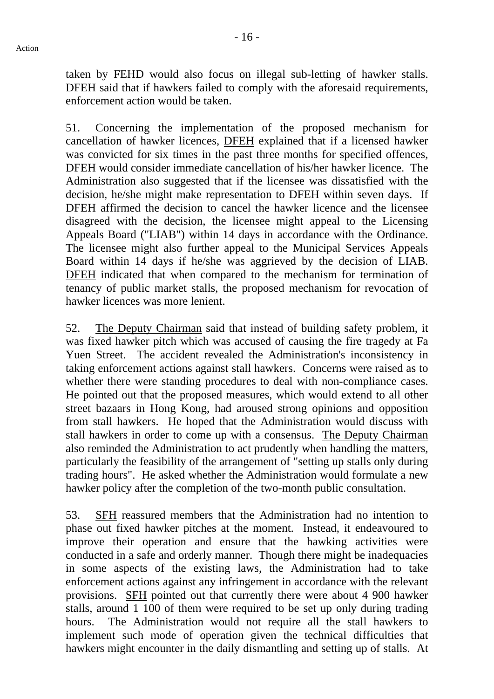taken by FEHD would also focus on illegal sub-letting of hawker stalls. DFEH said that if hawkers failed to comply with the aforesaid requirements, enforcement action would be taken.

51. Concerning the implementation of the proposed mechanism for cancellation of hawker licences, DFEH explained that if a licensed hawker was convicted for six times in the past three months for specified offences, DFEH would consider immediate cancellation of his/her hawker licence. The Administration also suggested that if the licensee was dissatisfied with the decision, he/she might make representation to DFEH within seven days. If DFEH affirmed the decision to cancel the hawker licence and the licensee disagreed with the decision, the licensee might appeal to the Licensing Appeals Board ("LIAB") within 14 days in accordance with the Ordinance. The licensee might also further appeal to the Municipal Services Appeals Board within 14 days if he/she was aggrieved by the decision of LIAB. DFEH indicated that when compared to the mechanism for termination of tenancy of public market stalls, the proposed mechanism for revocation of hawker licences was more lenient.

52. The Deputy Chairman said that instead of building safety problem, it was fixed hawker pitch which was accused of causing the fire tragedy at Fa Yuen Street. The accident revealed the Administration's inconsistency in taking enforcement actions against stall hawkers. Concerns were raised as to whether there were standing procedures to deal with non-compliance cases. He pointed out that the proposed measures, which would extend to all other street bazaars in Hong Kong, had aroused strong opinions and opposition from stall hawkers. He hoped that the Administration would discuss with stall hawkers in order to come up with a consensus. The Deputy Chairman also reminded the Administration to act prudently when handling the matters, particularly the feasibility of the arrangement of "setting up stalls only during trading hours". He asked whether the Administration would formulate a new hawker policy after the completion of the two-month public consultation.

53. SFH reassured members that the Administration had no intention to phase out fixed hawker pitches at the moment. Instead, it endeavoured to improve their operation and ensure that the hawking activities were conducted in a safe and orderly manner. Though there might be inadequacies in some aspects of the existing laws, the Administration had to take enforcement actions against any infringement in accordance with the relevant provisions. SFH pointed out that currently there were about 4 900 hawker stalls, around 1 100 of them were required to be set up only during trading hours. The Administration would not require all the stall hawkers to implement such mode of operation given the technical difficulties that hawkers might encounter in the daily dismantling and setting up of stalls. At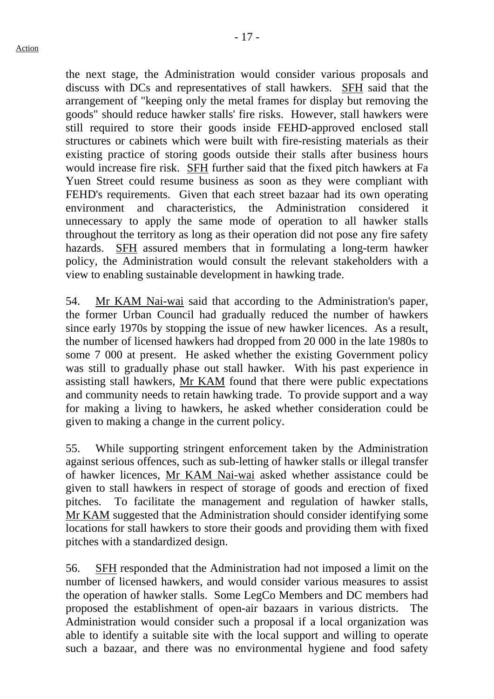the next stage, the Administration would consider various proposals and discuss with DCs and representatives of stall hawkers. SFH said that the arrangement of "keeping only the metal frames for display but removing the goods" should reduce hawker stalls' fire risks. However, stall hawkers were still required to store their goods inside FEHD-approved enclosed stall structures or cabinets which were built with fire-resisting materials as their existing practice of storing goods outside their stalls after business hours would increase fire risk. SFH further said that the fixed pitch hawkers at Fa Yuen Street could resume business as soon as they were compliant with FEHD's requirements. Given that each street bazaar had its own operating environment and characteristics, the Administration considered it unnecessary to apply the same mode of operation to all hawker stalls throughout the territory as long as their operation did not pose any fire safety hazards. SFH assured members that in formulating a long-term hawker policy, the Administration would consult the relevant stakeholders with a view to enabling sustainable development in hawking trade.

54. Mr KAM Nai-wai said that according to the Administration's paper, the former Urban Council had gradually reduced the number of hawkers since early 1970s by stopping the issue of new hawker licences. As a result, the number of licensed hawkers had dropped from 20 000 in the late 1980s to some 7 000 at present. He asked whether the existing Government policy was still to gradually phase out stall hawker. With his past experience in assisting stall hawkers, Mr KAM found that there were public expectations and community needs to retain hawking trade. To provide support and a way for making a living to hawkers, he asked whether consideration could be given to making a change in the current policy.

55. While supporting stringent enforcement taken by the Administration against serious offences, such as sub-letting of hawker stalls or illegal transfer of hawker licences, Mr KAM Nai-wai asked whether assistance could be given to stall hawkers in respect of storage of goods and erection of fixed pitches. To facilitate the management and regulation of hawker stalls, Mr KAM suggested that the Administration should consider identifying some locations for stall hawkers to store their goods and providing them with fixed pitches with a standardized design.

56. SFH responded that the Administration had not imposed a limit on the number of licensed hawkers, and would consider various measures to assist the operation of hawker stalls. Some LegCo Members and DC members had proposed the establishment of open-air bazaars in various districts. The Administration would consider such a proposal if a local organization was able to identify a suitable site with the local support and willing to operate such a bazaar, and there was no environmental hygiene and food safety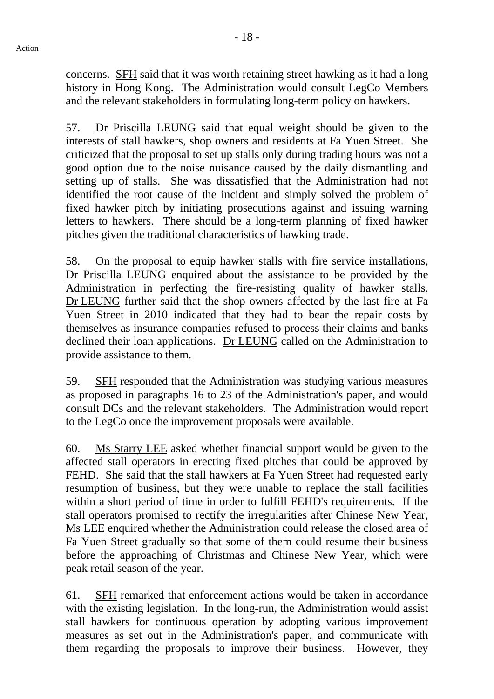concerns. SFH said that it was worth retaining street hawking as it had a long history in Hong Kong. The Administration would consult LegCo Members and the relevant stakeholders in formulating long-term policy on hawkers.

57. Dr Priscilla LEUNG said that equal weight should be given to the interests of stall hawkers, shop owners and residents at Fa Yuen Street. She criticized that the proposal to set up stalls only during trading hours was not a good option due to the noise nuisance caused by the daily dismantling and setting up of stalls. She was dissatisfied that the Administration had not identified the root cause of the incident and simply solved the problem of fixed hawker pitch by initiating prosecutions against and issuing warning letters to hawkers. There should be a long-term planning of fixed hawker pitches given the traditional characteristics of hawking trade.

58. On the proposal to equip hawker stalls with fire service installations, Dr Priscilla LEUNG enquired about the assistance to be provided by the Administration in perfecting the fire-resisting quality of hawker stalls. Dr LEUNG further said that the shop owners affected by the last fire at Fa Yuen Street in 2010 indicated that they had to bear the repair costs by themselves as insurance companies refused to process their claims and banks declined their loan applications. Dr LEUNG called on the Administration to provide assistance to them.

59. SFH responded that the Administration was studying various measures as proposed in paragraphs 16 to 23 of the Administration's paper, and would consult DCs and the relevant stakeholders. The Administration would report to the LegCo once the improvement proposals were available.

60. Ms Starry LEE asked whether financial support would be given to the affected stall operators in erecting fixed pitches that could be approved by FEHD. She said that the stall hawkers at Fa Yuen Street had requested early resumption of business, but they were unable to replace the stall facilities within a short period of time in order to fulfill FEHD's requirements. If the stall operators promised to rectify the irregularities after Chinese New Year, Ms LEE enquired whether the Administration could release the closed area of Fa Yuen Street gradually so that some of them could resume their business before the approaching of Christmas and Chinese New Year, which were peak retail season of the year.

61. SFH remarked that enforcement actions would be taken in accordance with the existing legislation. In the long-run, the Administration would assist stall hawkers for continuous operation by adopting various improvement measures as set out in the Administration's paper, and communicate with them regarding the proposals to improve their business. However, they